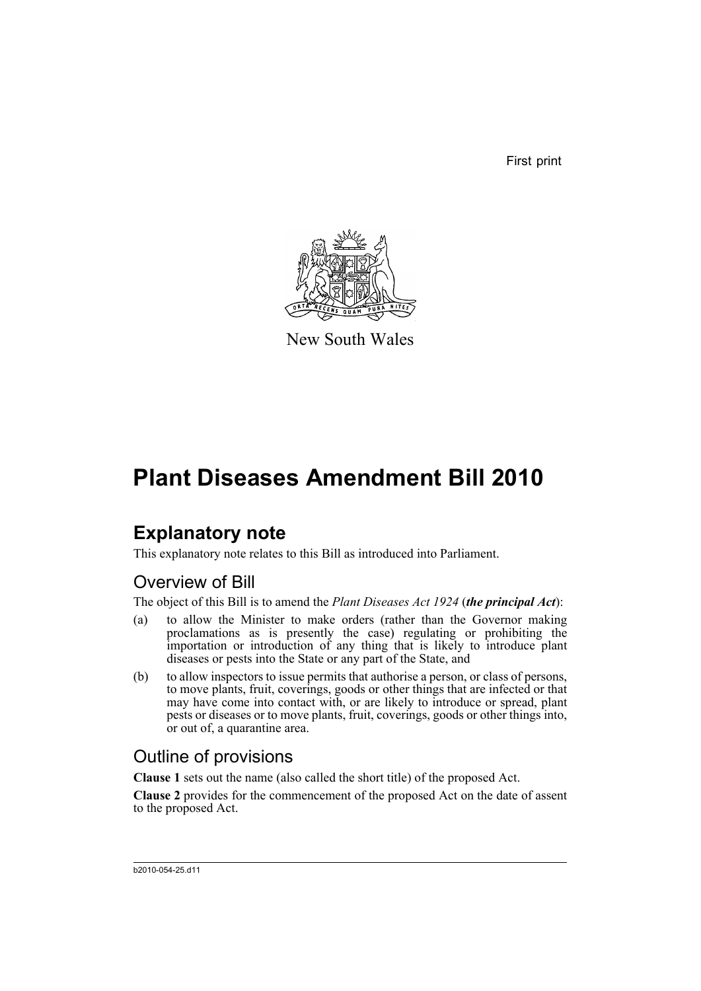First print



New South Wales

# **Plant Diseases Amendment Bill 2010**

## **Explanatory note**

This explanatory note relates to this Bill as introduced into Parliament.

### Overview of Bill

The object of this Bill is to amend the *Plant Diseases Act 1924* (*the principal Act*):

- (a) to allow the Minister to make orders (rather than the Governor making proclamations as is presently the case) regulating or prohibiting the importation or introduction of any thing that is likely to introduce plant diseases or pests into the State or any part of the State, and
- (b) to allow inspectors to issue permits that authorise a person, or class of persons, to move plants, fruit, coverings, goods or other things that are infected or that may have come into contact with, or are likely to introduce or spread, plant pests or diseases or to move plants, fruit, coverings, goods or other things into, or out of, a quarantine area.

## Outline of provisions

**Clause 1** sets out the name (also called the short title) of the proposed Act.

**Clause 2** provides for the commencement of the proposed Act on the date of assent to the proposed Act.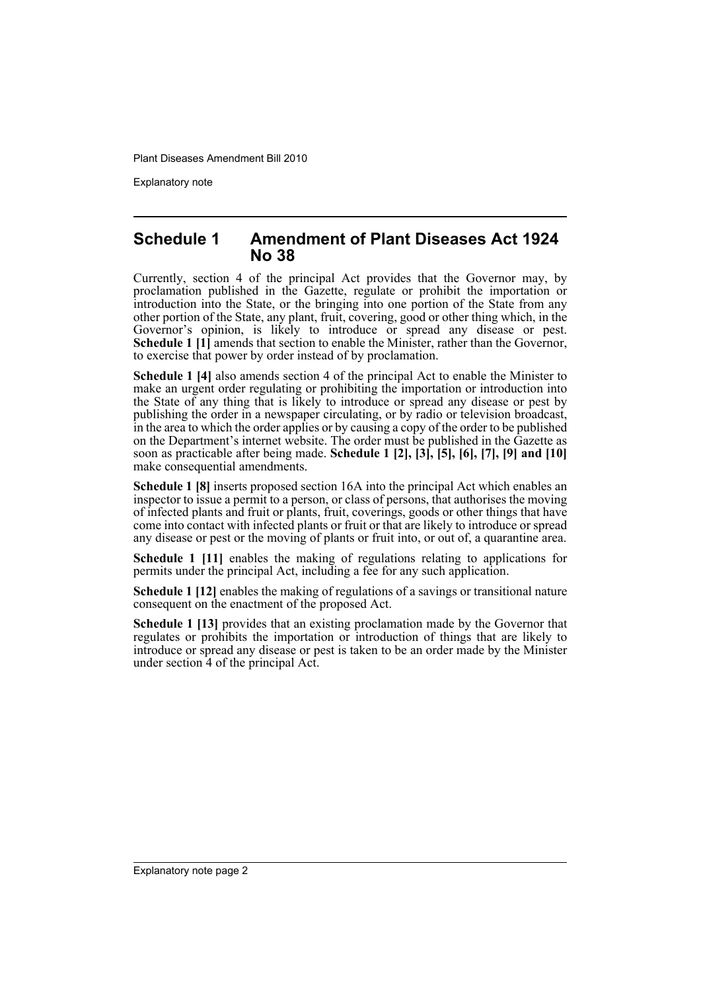Explanatory note

#### **Schedule 1 Amendment of Plant Diseases Act 1924 No 38**

Currently, section 4 of the principal Act provides that the Governor may, by proclamation published in the Gazette, regulate or prohibit the importation or introduction into the State, or the bringing into one portion of the State from any other portion of the State, any plant, fruit, covering, good or other thing which, in the Governor's opinion, is likely to introduce or spread any disease or pest. **Schedule 1 [1]** amends that section to enable the Minister, rather than the Governor, to exercise that power by order instead of by proclamation.

**Schedule 1 [4]** also amends section 4 of the principal Act to enable the Minister to make an urgent order regulating or prohibiting the importation or introduction into the State of any thing that is likely to introduce or spread any disease or pest by publishing the order in a newspaper circulating, or by radio or television broadcast, in the area to which the order applies or by causing a copy of the order to be published on the Department's internet website. The order must be published in the Gazette as soon as practicable after being made. **Schedule 1 [2], [3], [5], [6], [7], [9] and [10]** make consequential amendments.

**Schedule 1 [8]** inserts proposed section 16A into the principal Act which enables an inspector to issue a permit to a person, or class of persons, that authorises the moving of infected plants and fruit or plants, fruit, coverings, goods or other things that have come into contact with infected plants or fruit or that are likely to introduce or spread any disease or pest or the moving of plants or fruit into, or out of, a quarantine area.

**Schedule 1 [11]** enables the making of regulations relating to applications for permits under the principal Act, including a fee for any such application.

**Schedule 1 [12]** enables the making of regulations of a savings or transitional nature consequent on the enactment of the proposed Act.

**Schedule 1 [13]** provides that an existing proclamation made by the Governor that regulates or prohibits the importation or introduction of things that are likely to introduce or spread any disease or pest is taken to be an order made by the Minister under section 4 of the principal Act.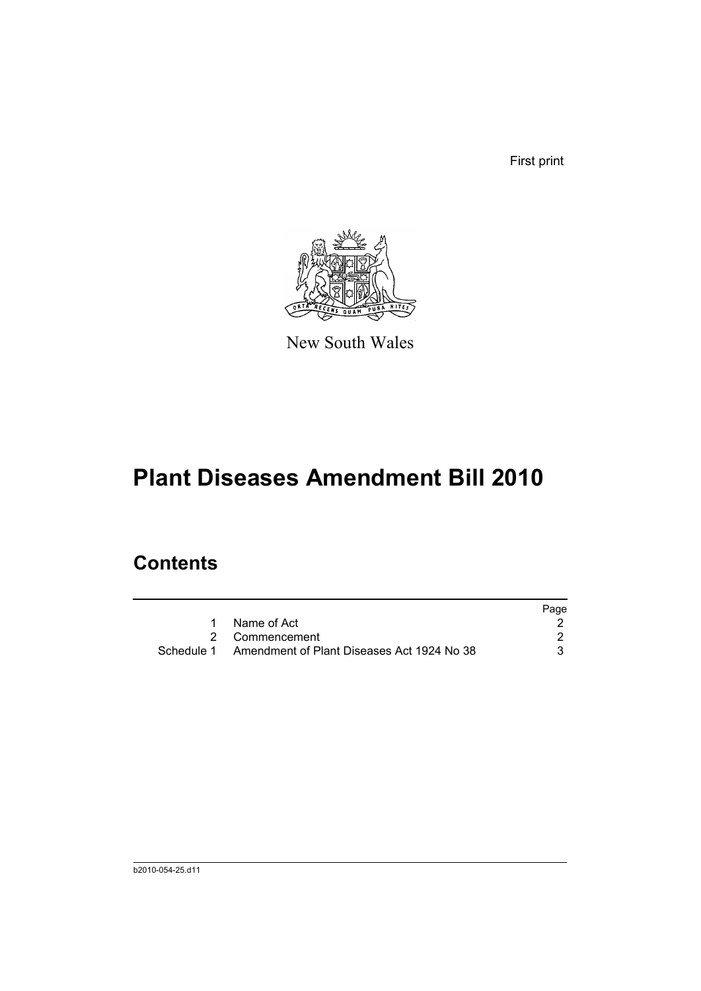First print



New South Wales

# **Plant Diseases Amendment Bill 2010**

## **Contents**

|                                                       | Page |
|-------------------------------------------------------|------|
| 1 Name of Act                                         |      |
| 2 Commencement                                        |      |
| Schedule 1 Amendment of Plant Diseases Act 1924 No 38 |      |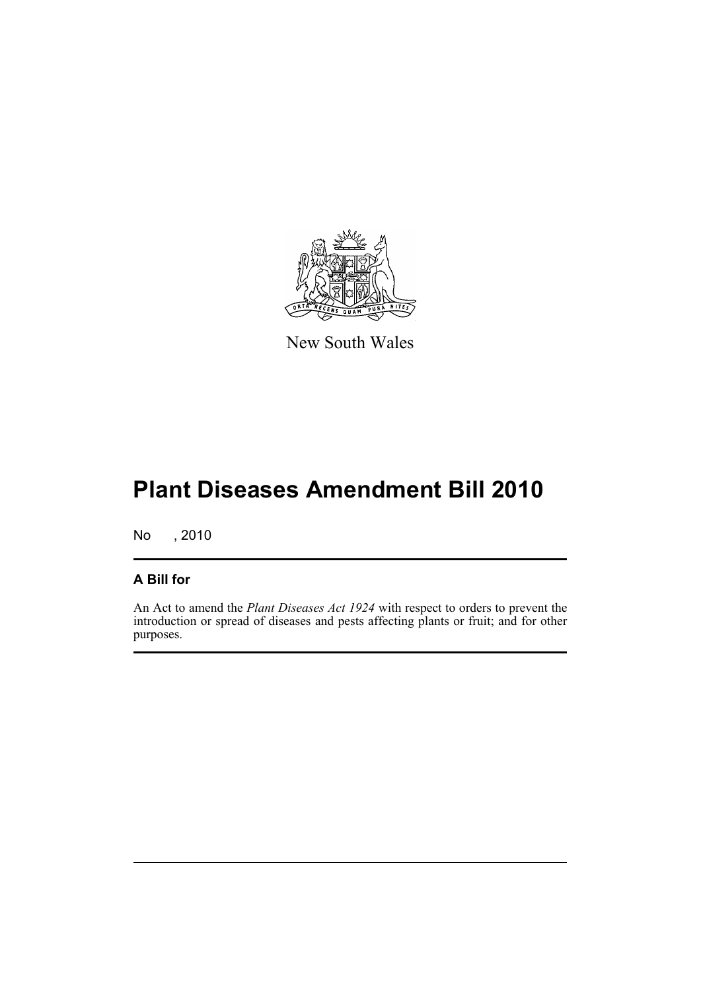

New South Wales

# **Plant Diseases Amendment Bill 2010**

No , 2010

#### **A Bill for**

An Act to amend the *Plant Diseases Act 1924* with respect to orders to prevent the introduction or spread of diseases and pests affecting plants or fruit; and for other purposes.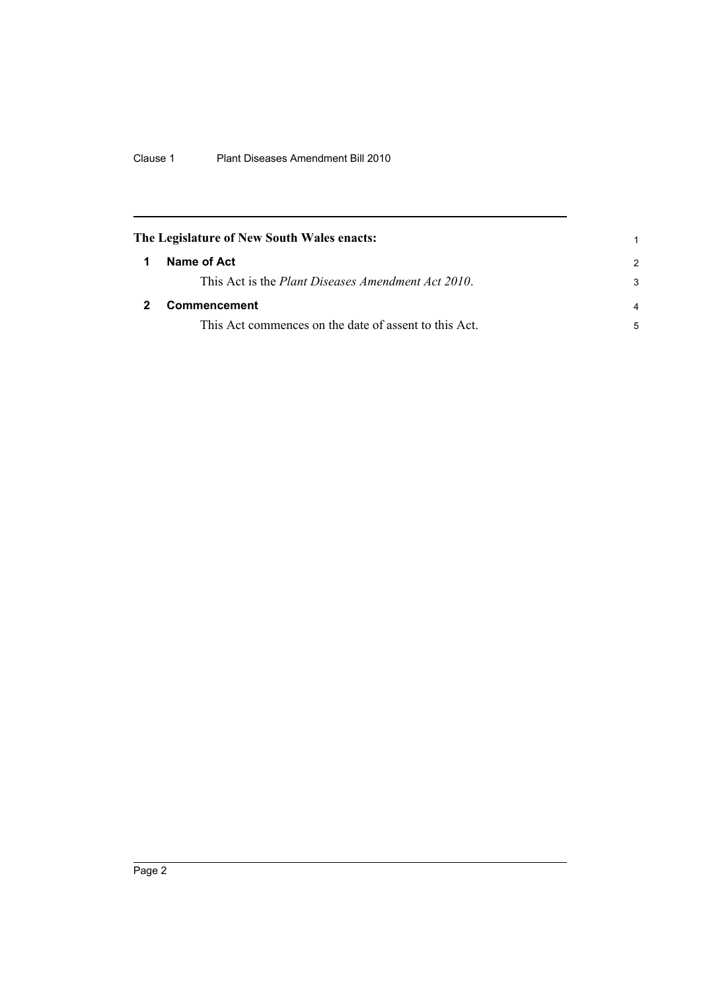<span id="page-5-1"></span><span id="page-5-0"></span>

| The Legislature of New South Wales enacts: |                                                            |                |
|--------------------------------------------|------------------------------------------------------------|----------------|
|                                            | Name of Act                                                | $\mathcal{P}$  |
|                                            | This Act is the <i>Plant Diseases Amendment Act 2010</i> . | 3              |
|                                            | <b>Commencement</b>                                        | $\overline{a}$ |
|                                            | This Act commences on the date of assent to this Act.      | 5              |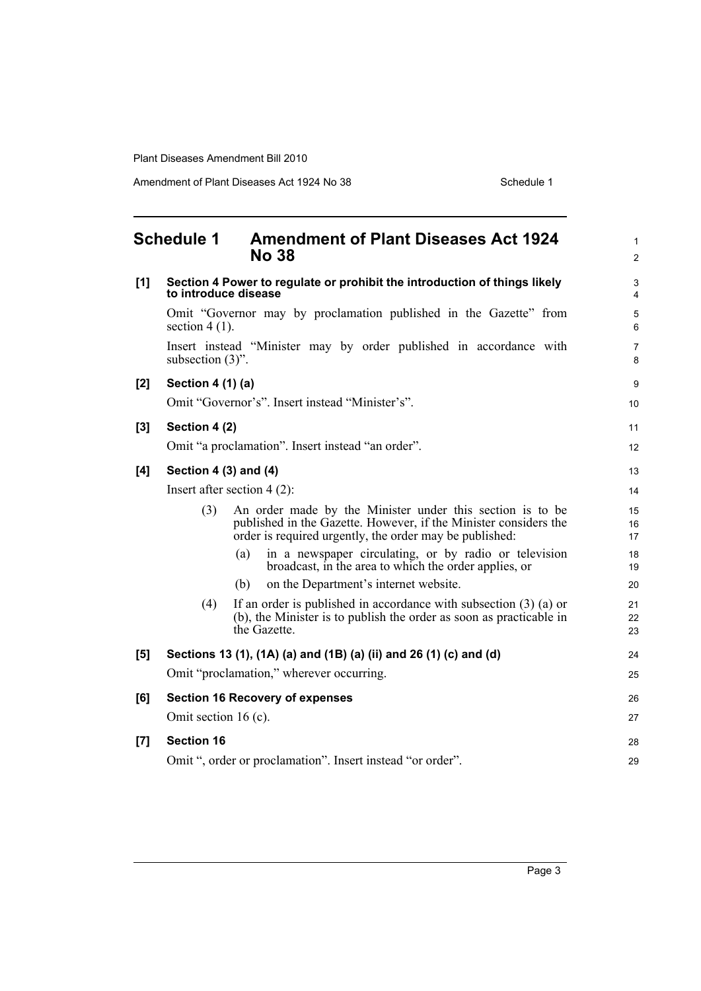Amendment of Plant Diseases Act 1924 No 38 Schedule 1

<span id="page-6-0"></span>

|     | <b>Schedule 1</b>         | <b>Amendment of Plant Diseases Act 1924</b><br><b>No 38</b>                                                                                                                              | $\mathbf{1}$<br>$\overline{c}$ |
|-----|---------------------------|------------------------------------------------------------------------------------------------------------------------------------------------------------------------------------------|--------------------------------|
| [1] | to introduce disease      | Section 4 Power to regulate or prohibit the introduction of things likely                                                                                                                | $\mathsf 3$<br>4               |
|     | section $4(1)$ .          | Omit "Governor may by proclamation published in the Gazette" from                                                                                                                        | 5<br>$6\phantom{1}6$           |
|     | subsection $(3)$ ".       | Insert instead "Minister may by order published in accordance with                                                                                                                       | $\overline{7}$<br>8            |
| [2] | Section 4 (1) (a)         |                                                                                                                                                                                          | $\boldsymbol{9}$               |
|     |                           | Omit "Governor's". Insert instead "Minister's".                                                                                                                                          | 10                             |
| [3] | Section 4 (2)             |                                                                                                                                                                                          | 11                             |
|     |                           | Omit "a proclamation". Insert instead "an order".                                                                                                                                        | 12                             |
| [4] | Section 4 $(3)$ and $(4)$ |                                                                                                                                                                                          | 13                             |
|     |                           | Insert after section $4(2)$ :                                                                                                                                                            | 14                             |
|     | (3)                       | An order made by the Minister under this section is to be<br>published in the Gazette. However, if the Minister considers the<br>order is required urgently, the order may be published: | 15<br>16<br>17                 |
|     |                           | in a newspaper circulating, or by radio or television<br>(a)<br>broadcast, in the area to which the order applies, or                                                                    | 18<br>19                       |
|     |                           | on the Department's internet website.<br>(b)                                                                                                                                             | 20                             |
|     | (4)                       | If an order is published in accordance with subsection $(3)$ (a) or<br>(b), the Minister is to publish the order as soon as practicable in<br>the Gazette.                               | 21<br>22<br>23                 |
| [5] |                           | Sections 13 (1), (1A) (a) and (1B) (a) (ii) and 26 (1) (c) and (d)                                                                                                                       | 24                             |
|     |                           | Omit "proclamation," wherever occurring.                                                                                                                                                 | 25                             |
| [6] |                           | <b>Section 16 Recovery of expenses</b>                                                                                                                                                   | 26                             |
|     | Omit section 16 (c).      |                                                                                                                                                                                          | 27                             |
| [7] | <b>Section 16</b>         |                                                                                                                                                                                          | 28                             |
|     |                           | Omit ", order or proclamation". Insert instead "or order".                                                                                                                               | 29                             |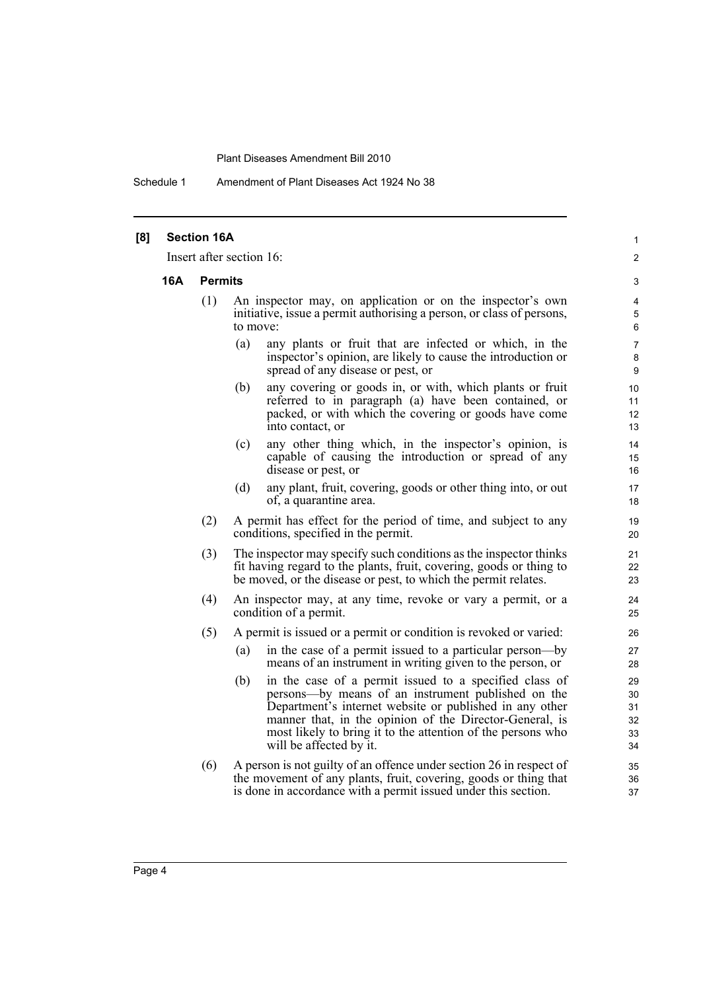Schedule 1 Amendment of Plant Diseases Act 1924 No 38

| [8] |                              | <b>Section 16A</b> | Insert after section 16:                                                                                                                                                                                                                                                                                                            | 1<br>2                           |
|-----|------------------------------|--------------------|-------------------------------------------------------------------------------------------------------------------------------------------------------------------------------------------------------------------------------------------------------------------------------------------------------------------------------------|----------------------------------|
|     | <b>16A</b><br><b>Permits</b> |                    |                                                                                                                                                                                                                                                                                                                                     |                                  |
|     |                              | (1)                | An inspector may, on application or on the inspector's own<br>initiative, issue a permit authorising a person, or class of persons,<br>to move:                                                                                                                                                                                     | 3<br>4<br>5<br>6                 |
|     |                              |                    | (a)<br>any plants or fruit that are infected or which, in the<br>inspector's opinion, are likely to cause the introduction or<br>spread of any disease or pest, or                                                                                                                                                                  | 7<br>8<br>9                      |
|     |                              |                    | any covering or goods in, or with, which plants or fruit<br>(b)<br>referred to in paragraph (a) have been contained, or<br>packed, or with which the covering or goods have come<br>into contact, or                                                                                                                                | 10<br>11<br>12<br>13             |
|     |                              |                    | any other thing which, in the inspector's opinion, is<br>(c)<br>capable of causing the introduction or spread of any<br>disease or pest, or                                                                                                                                                                                         | 14<br>15<br>16                   |
|     |                              |                    | any plant, fruit, covering, goods or other thing into, or out<br>(d)<br>of, a quarantine area.                                                                                                                                                                                                                                      | 17<br>18                         |
|     |                              | (2)                | A permit has effect for the period of time, and subject to any<br>conditions, specified in the permit.                                                                                                                                                                                                                              | 19<br>20                         |
|     |                              | (3)                | The inspector may specify such conditions as the inspector thinks<br>fit having regard to the plants, fruit, covering, goods or thing to<br>be moved, or the disease or pest, to which the permit relates.                                                                                                                          | 21<br>22<br>23                   |
|     |                              | (4)                | An inspector may, at any time, revoke or vary a permit, or a<br>condition of a permit.                                                                                                                                                                                                                                              | 24<br>25                         |
|     |                              | (5)                | A permit is issued or a permit or condition is revoked or varied:                                                                                                                                                                                                                                                                   | 26                               |
|     |                              |                    | in the case of a permit issued to a particular person-by<br>(a)<br>means of an instrument in writing given to the person, or                                                                                                                                                                                                        | 27<br>28                         |
|     |                              |                    | in the case of a permit issued to a specified class of<br>(b)<br>persons—by means of an instrument published on the<br>Department's internet website or published in any other<br>manner that, in the opinion of the Director-General, is<br>most likely to bring it to the attention of the persons who<br>will be affected by it. | 29<br>30<br>31<br>32<br>33<br>34 |
|     |                              | (6)                | A person is not guilty of an offence under section 26 in respect of<br>the movement of any plants, fruit, covering, goods or thing that<br>is done in accordance with a permit issued under this section.                                                                                                                           | 35<br>36<br>37                   |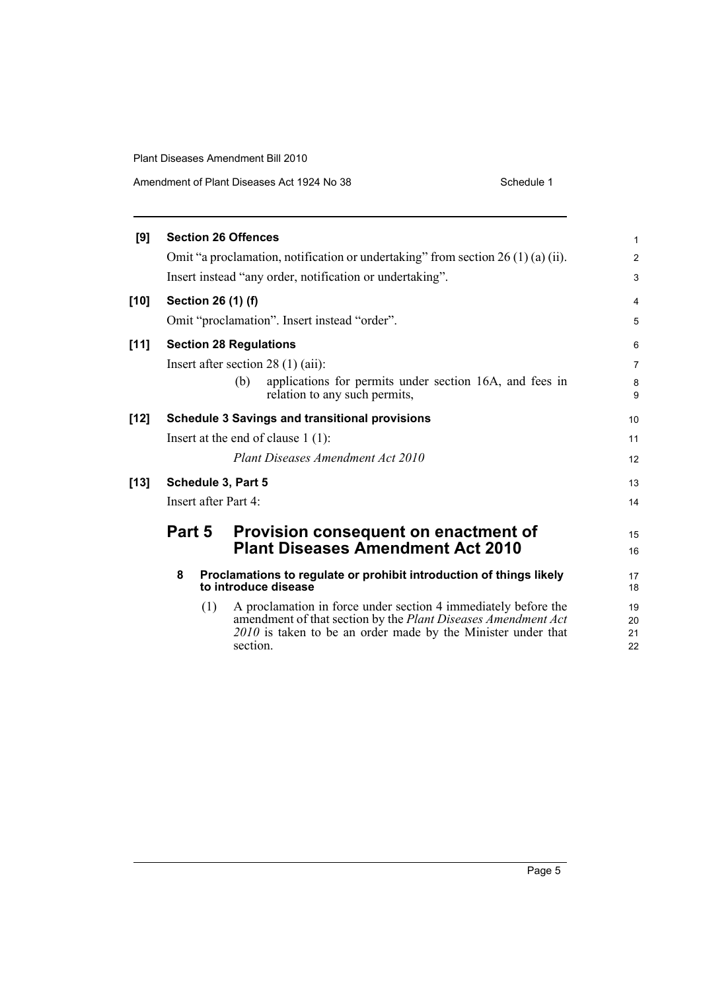| Amendment of Plant Diseases Act 1924 No 38 | Schedule 1 |
|--------------------------------------------|------------|
|--------------------------------------------|------------|

| [9]  | <b>Section 26 Offences</b> |                                                                                                                                                                                                             | $\mathbf{1}$         |
|------|----------------------------|-------------------------------------------------------------------------------------------------------------------------------------------------------------------------------------------------------------|----------------------|
|      |                            | Omit "a proclamation, notification or undertaking" from section $26(1)(a)(ii)$ .                                                                                                                            | $\overline{2}$       |
|      |                            | Insert instead "any order, notification or undertaking".                                                                                                                                                    | 3                    |
| [10] | Section 26 (1) (f)         |                                                                                                                                                                                                             | 4                    |
|      |                            | Omit "proclamation". Insert instead "order".                                                                                                                                                                | 5                    |
| [11] |                            | <b>Section 28 Regulations</b>                                                                                                                                                                               | 6                    |
|      |                            | Insert after section $28(1)(ai)$ :                                                                                                                                                                          | $\overline{7}$       |
|      |                            | applications for permits under section 16A, and fees in<br>(b)<br>relation to any such permits,                                                                                                             | 8<br>9               |
| [12] |                            | <b>Schedule 3 Savings and transitional provisions</b>                                                                                                                                                       | 10                   |
|      |                            | Insert at the end of clause $1(1)$ :                                                                                                                                                                        | 11                   |
|      |                            | Plant Diseases Amendment Act 2010                                                                                                                                                                           | 12                   |
| [13] | Schedule 3, Part 5         |                                                                                                                                                                                                             | 13                   |
|      | Insert after Part 4:       |                                                                                                                                                                                                             | 14                   |
|      | Part 5                     | Provision consequent on enactment of                                                                                                                                                                        | 15                   |
|      |                            | <b>Plant Diseases Amendment Act 2010</b>                                                                                                                                                                    | 16                   |
|      | 8                          | Proclamations to regulate or prohibit introduction of things likely<br>to introduce disease                                                                                                                 | 17<br>18             |
|      | (1)                        | A proclamation in force under section 4 immediately before the<br>amendment of that section by the Plant Diseases Amendment Act<br>2010 is taken to be an order made by the Minister under that<br>section. | 19<br>20<br>21<br>22 |